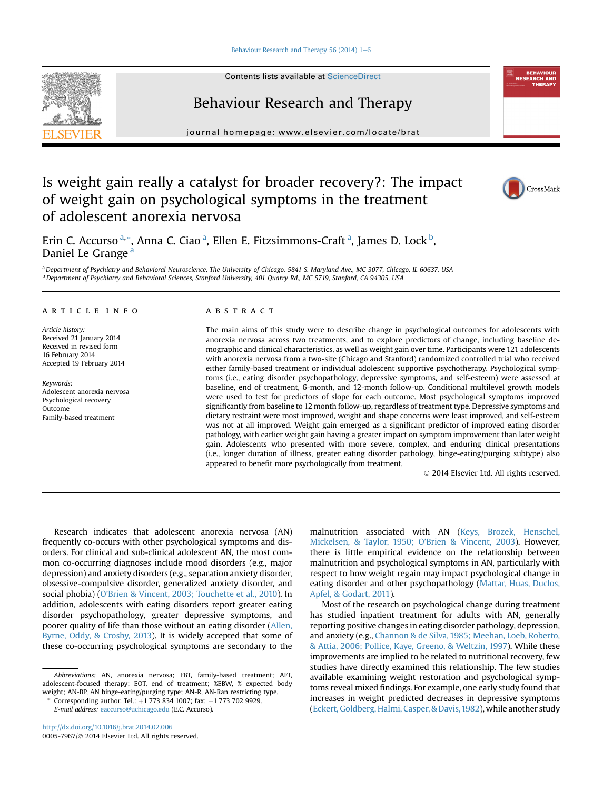Behaviour Research and Therapy  $56$  $56$  (2014)  $1-6$ 



Contents lists available at ScienceDirect

# Behaviour Research and Therapy

journal homepage: [www.elsevier.com/locate/brat](http://www.elsevier.com/locate/brat)

# Is weight gain really a catalyst for broader recovery?: The impact of weight gain on psychological symptoms in the treatment of adolescent anorexia nervosa



Erin C. Accurso <sup>a,</sup>\*, Anna C. Ciao <sup>a</sup>, Ellen E. Fitzsimmons-Craft <sup>a</sup>, James D. Lock <sup>b</sup>, Daniel Le Grange<sup>a</sup>

a Department of Psychiatry and Behavioral Neuroscience, The University of Chicago, 5841 S. Maryland Ave., MC 3077, Chicago, IL 60637, USA <sup>b</sup> Department of Psychiatry and Behavioral Sciences, Stanford University, 401 Quarry Rd., MC 5719, Stanford, CA 94305, USA

# article info

Article history: Received 21 January 2014 Received in revised form 16 February 2014 Accepted 19 February 2014

Keywords: Adolescent anorexia nervosa Psychological recovery Outcome Family-based treatment

# **ABSTRACT**

The main aims of this study were to describe change in psychological outcomes for adolescents with anorexia nervosa across two treatments, and to explore predictors of change, including baseline demographic and clinical characteristics, as well as weight gain over time. Participants were 121 adolescents with anorexia nervosa from a two-site (Chicago and Stanford) randomized controlled trial who received either family-based treatment or individual adolescent supportive psychotherapy. Psychological symptoms (i.e., eating disorder psychopathology, depressive symptoms, and self-esteem) were assessed at baseline, end of treatment, 6-month, and 12-month follow-up. Conditional multilevel growth models were used to test for predictors of slope for each outcome. Most psychological symptoms improved significantly from baseline to 12 month follow-up, regardless of treatment type. Depressive symptoms and dietary restraint were most improved, weight and shape concerns were least improved, and self-esteem was not at all improved. Weight gain emerged as a significant predictor of improved eating disorder pathology, with earlier weight gain having a greater impact on symptom improvement than later weight gain. Adolescents who presented with more severe, complex, and enduring clinical presentations (i.e., longer duration of illness, greater eating disorder pathology, binge-eating/purging subtype) also appeared to benefit more psychologically from treatment.

2014 Elsevier Ltd. All rights reserved.

Research indicates that adolescent anorexia nervosa (AN) frequently co-occurs with other psychological symptoms and disorders. For clinical and sub-clinical adolescent AN, the most common co-occurring diagnoses include mood disorders (e.g., major depression) and anxiety disorders (e.g., separation anxiety disorder, obsessive-compulsive disorder, generalized anxiety disorder, and social phobia) (O'[Brien & Vincent, 2003; Touchette et al., 2010\)](#page-5-0). In addition, adolescents with eating disorders report greater eating disorder psychopathology, greater depressive symptoms, and poorer quality of life than those without an eating disorder [\(Allen,](#page-5-0) [Byrne, Oddy, & Crosby, 2013\)](#page-5-0). It is widely accepted that some of these co-occurring psychological symptoms are secondary to the

Abbreviations: AN, anorexia nervosa; FBT, family-based treatment; AFT, adolescent-focused therapy; EOT, end of treatment; %EBW, % expected body weight; AN-BP, AN binge-eating/purging type; AN-R, AN-Ran restricting type.

Corresponding author. Tel.:  $+1$  773 834 1007; fax:  $+1$  773 702 9929.

E-mail address: [eaccurso@uchicago.edu](mailto:eaccurso@uchicago.edu) (E.C. Accurso).

malnutrition associated with AN ([Keys, Brozek, Henschel,](#page-5-0) [Mickelsen, & Taylor, 1950; O](#page-5-0)'Brien & Vincent, 2003). However, there is little empirical evidence on the relationship between malnutrition and psychological symptoms in AN, particularly with respect to how weight regain may impact psychological change in eating disorder and other psychopathology ([Mattar, Huas, Duclos,](#page-5-0) [Apfel, & Godart, 2011\)](#page-5-0).

Most of the research on psychological change during treatment has studied inpatient treatment for adults with AN, generally reporting positive changes in eating disorder pathology, depression, and anxiety (e.g., [Channon & de Silva, 1985; Meehan, Loeb, Roberto,](#page-5-0) [& Attia, 2006; Pollice, Kaye, Greeno, & Weltzin, 1997\)](#page-5-0). While these improvements are implied to be related to nutritional recovery, few studies have directly examined this relationship. The few studies available examining weight restoration and psychological symptoms reveal mixed findings. For example, one early study found that increases in weight predicted decreases in depressive symptoms ([Eckert, Goldberg, Halmi, Casper, & Davis,1982](#page-5-0)), while another study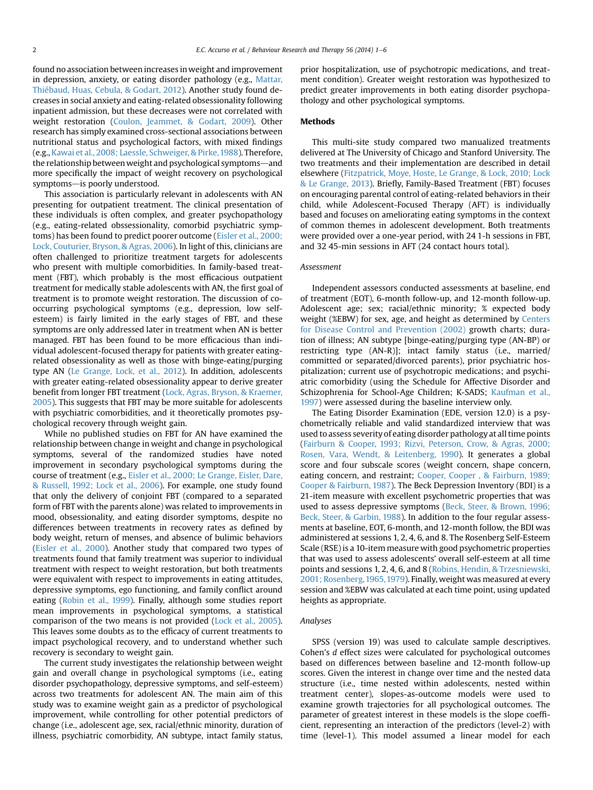found no association between increases inweight and improvement in depression, anxiety, or eating disorder pathology (e.g., [Mattar,](#page-5-0) [Thiébaud, Huas, Cebula, & Godart, 2012](#page-5-0)). Another study found decreases in social anxiety and eating-related obsessionality following inpatient admission, but these decreases were not correlated with weight restoration [\(Coulon, Jeammet, & Godart, 2009](#page-5-0)). Other research has simply examined cross-sectional associations between nutritional status and psychological factors, with mixed findings (e.g., [Kawai et al., 2008; Laessle, Schweiger, & Pirke,1988](#page-5-0)). Therefore, the relationship between weight and psychological symptoms—and more specifically the impact of weight recovery on psychological symptoms-is poorly understood.

This association is particularly relevant in adolescents with AN presenting for outpatient treatment. The clinical presentation of these individuals is often complex, and greater psychopathology (e.g., eating-related obssessionality, comorbid psychiatric symptoms) has been found to predict poorer outcome ([Eisler et al., 2000;](#page-5-0) [Lock, Couturier, Bryson, & Agras, 2006\)](#page-5-0). In light of this, clinicians are often challenged to prioritize treatment targets for adolescents who present with multiple comorbidities. In family-based treatment (FBT), which probably is the most efficacious outpatient treatment for medically stable adolescents with AN, the first goal of treatment is to promote weight restoration. The discussion of cooccurring psychological symptoms (e.g., depression, low selfesteem) is fairly limited in the early stages of FBT, and these symptoms are only addressed later in treatment when AN is better managed. FBT has been found to be more efficacious than individual adolescent-focused therapy for patients with greater eatingrelated obsessionality as well as those with binge-eating/purging type AN ([Le Grange, Lock, et al., 2012\)](#page-5-0). In addition, adolescents with greater eating-related obsessionality appear to derive greater benefit from longer FBT treatment [\(Lock, Agras, Bryson, & Kraemer,](#page-5-0) [2005](#page-5-0)). This suggests that FBT may be more suitable for adolescents with psychiatric comorbidities, and it theoretically promotes psychological recovery through weight gain.

While no published studies on FBT for AN have examined the relationship between change in weight and change in psychological symptoms, several of the randomized studies have noted improvement in secondary psychological symptoms during the course of treatment (e.g., [Eisler et al., 2000; Le Grange, Eisler, Dare,](#page-5-0) [& Russell, 1992; Lock et al., 2006](#page-5-0)). For example, one study found that only the delivery of conjoint FBT (compared to a separated form of FBT with the parents alone) was related to improvements in mood, obsessionality, and eating disorder symptoms, despite no differences between treatments in recovery rates as defined by body weight, return of menses, and absence of bulimic behaviors ([Eisler et al., 2000](#page-5-0)). Another study that compared two types of treatments found that family treatment was superior to individual treatment with respect to weight restoration, but both treatments were equivalent with respect to improvements in eating attitudes, depressive symptoms, ego functioning, and family conflict around eating ([Robin et al., 1999\)](#page-5-0). Finally, although some studies report mean improvements in psychological symptoms, a statistical comparison of the two means is not provided ([Lock et al., 2005\)](#page-5-0). This leaves some doubts as to the efficacy of current treatments to impact psychological recovery, and to understand whether such recovery is secondary to weight gain.

The current study investigates the relationship between weight gain and overall change in psychological symptoms (i.e., eating disorder psychopathology, depressive symptoms, and self-esteem) across two treatments for adolescent AN. The main aim of this study was to examine weight gain as a predictor of psychological improvement, while controlling for other potential predictors of change (i.e., adolescent age, sex, racial/ethnic minority, duration of illness, psychiatric comorbidity, AN subtype, intact family status, prior hospitalization, use of psychotropic medications, and treatment condition). Greater weight restoration was hypothesized to predict greater improvements in both eating disorder psychopathology and other psychological symptoms.

# Methods

This multi-site study compared two manualized treatments delivered at The University of Chicago and Stanford University. The two treatments and their implementation are described in detail elsewhere ([Fitzpatrick, Moye, Hoste, Le Grange, & Lock, 2010; Lock](#page-5-0) [& Le Grange, 2013](#page-5-0)). Briefly, Family-Based Treatment (FBT) focuses on encouraging parental control of eating-related behaviors in their child, while Adolescent-Focused Therapy (AFT) is individually based and focuses on ameliorating eating symptoms in the context of common themes in adolescent development. Both treatments were provided over a one-year period, with 24 1-h sessions in FBT, and 32 45-min sessions in AFT (24 contact hours total).

# Assessment

Independent assessors conducted assessments at baseline, end of treatment (EOT), 6-month follow-up, and 12-month follow-up. Adolescent age; sex; racial/ethnic minority; % expected body weight (%EBW) for sex, age, and height as determined by [Centers](#page-5-0) [for Disease Control and Prevention \(2002\)](#page-5-0) growth charts; duration of illness; AN subtype [binge-eating/purging type (AN-BP) or restricting type (AN-R)]; intact family status (i.e., married/ committed or separated/divorced parents), prior psychiatric hospitalization; current use of psychotropic medications; and psychiatric comorbidity (using the Schedule for Affective Disorder and Schizophrenia for School-Age Children; K-SADS; [Kaufman et al.,](#page-5-0) [1997](#page-5-0)) were assessed during the baseline interview only.

The Eating Disorder Examination (EDE, version 12.0) is a psychometrically reliable and valid standardized interview that was used to assess severity of eating disorder pathology at all time points ([Fairburn & Cooper, 1993; Rizvi, Peterson, Crow, & Agras, 2000;](#page-5-0) [Rosen, Vara, Wendt, & Leitenberg, 1990\)](#page-5-0). It generates a global score and four subscale scores (weight concern, shape concern, eating concern, and restraint; [Cooper, Cooper , & Fairburn, 1989;](#page-5-0) [Cooper & Fairburn, 1987\)](#page-5-0). The Beck Depression Inventory (BDI) is a 21-item measure with excellent psychometric properties that was used to assess depressive symptoms ([Beck, Steer, & Brown, 1996;](#page-5-0) [Beck, Steer, & Garbin, 1988\)](#page-5-0). In addition to the four regular assessments at baseline, EOT, 6-month, and 12-month follow, the BDI was administered at sessions 1, 2, 4, 6, and 8. The Rosenberg Self-Esteem Scale (RSE) is a 10-item measure with good psychometric properties that was used to assess adolescents' overall self-esteem at all time points and sessions 1, 2, 4, 6, and 8 [\(Robins, Hendin, & Trzesniewski,](#page-5-0) [2001; Rosenberg,1965,1979\)](#page-5-0). Finally, weight was measured at every session and %EBW was calculated at each time point, using updated heights as appropriate.

# Analyses

SPSS (version 19) was used to calculate sample descriptives. Cohen's d effect sizes were calculated for psychological outcomes based on differences between baseline and 12-month follow-up scores. Given the interest in change over time and the nested data structure (i.e., time nested within adolescents, nested within treatment center), slopes-as-outcome models were used to examine growth trajectories for all psychological outcomes. The parameter of greatest interest in these models is the slope coefficient, representing an interaction of the predictors (level-2) with time (level-1). This model assumed a linear model for each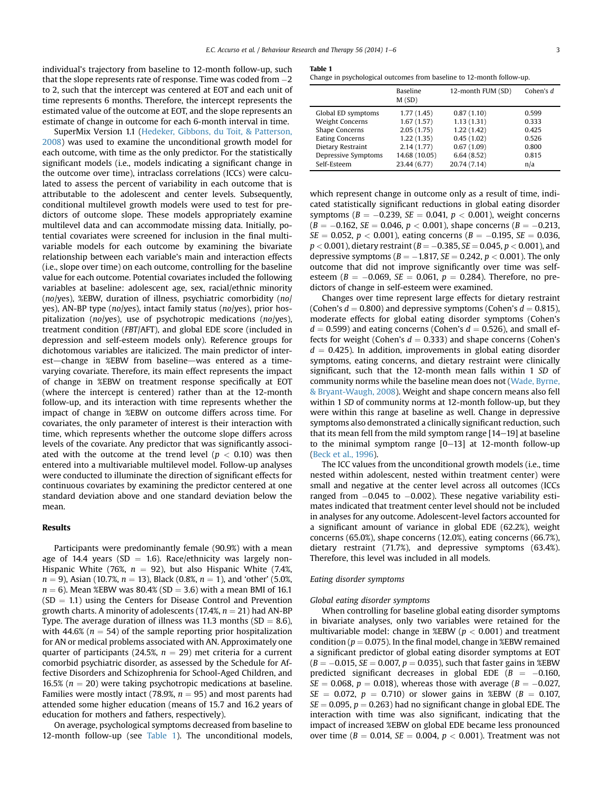individual's trajectory from baseline to 12-month follow-up, such that the slope represents rate of response. Time was coded from -2 to 2, such that the intercept was centered at EOT and each unit of time represents 6 months. Therefore, the intercept represents the estimated value of the outcome at EOT, and the slope represents an estimate of change in outcome for each 6-month interval in time.

SuperMix Version 1.1 [\(Hedeker, Gibbons, du Toit, & Patterson,](#page-5-0) [2008\)](#page-5-0) was used to examine the unconditional growth model for each outcome, with time as the only predictor. For the statistically significant models (i.e., models indicating a significant change in the outcome over time), intraclass correlations (ICCs) were calculated to assess the percent of variability in each outcome that is attributable to the adolescent and center levels. Subsequently, conditional multilevel growth models were used to test for predictors of outcome slope. These models appropriately examine multilevel data and can accommodate missing data. Initially, potential covariates were screened for inclusion in the final multivariable models for each outcome by examining the bivariate relationship between each variable's main and interaction effects (i.e., slope over time) on each outcome, controlling for the baseline value for each outcome. Potential covariates included the following variables at baseline: adolescent age, sex, racial/ethnic minority (no/yes), %EBW, duration of illness, psychiatric comorbidity (no/ yes), AN-BP type (no/yes), intact family status (no/yes), prior hospitalization (no/yes), use of psychotropic medications (no/yes), treatment condition (FBT/AFT), and global EDE score (included in depression and self-esteem models only). Reference groups for dichotomous variables are italicized. The main predictor of inter $est$ -change in %EBW from baseline-was entered as a timevarying covariate. Therefore, its main effect represents the impact of change in %EBW on treatment response specifically at EOT (where the intercept is centered) rather than at the 12-month follow-up, and its interaction with time represents whether the impact of change in %EBW on outcome differs across time. For covariates, the only parameter of interest is their interaction with time, which represents whether the outcome slope differs across levels of the covariate. Any predictor that was significantly associated with the outcome at the trend level ( $p < 0.10$ ) was then entered into a multivariable multilevel model. Follow-up analyses were conducted to illuminate the direction of significant effects for continuous covariates by examining the predictor centered at one standard deviation above and one standard deviation below the mean.

## Results

Participants were predominantly female (90.9%) with a mean age of 14.4 years (SD  $=$  1.6). Race/ethnicity was largely non-Hispanic White (76%,  $n = 92$ ), but also Hispanic White (7.4%,  $n = 9$ ), Asian (10.7%,  $n = 13$ ), Black (0.8%,  $n = 1$ ), and 'other' (5.0%,  $n = 6$ ). Mean %EBW was 80.4% (SD = 3.6) with a mean BMI of 16.1  $(SD = 1.1)$  using the Centers for Disease Control and Prevention growth charts. A minority of adolescents (17.4%,  $n = 21$ ) had AN-BP Type. The average duration of illness was 11.3 months (SD  $= 8.6$ ), with 44.6% ( $n = 54$ ) of the sample reporting prior hospitalization for AN or medical problems associated with AN. Approximately one quarter of participants (24.5%,  $n = 29$ ) met criteria for a current comorbid psychiatric disorder, as assessed by the Schedule for Affective Disorders and Schizophrenia for School-Aged Children, and 16.5% ( $n = 20$ ) were taking psychotropic medications at baseline. Families were mostly intact (78.9%,  $n = 95$ ) and most parents had attended some higher education (means of 15.7 and 16.2 years of education for mothers and fathers, respectively).

On average, psychological symptoms decreased from baseline to 12-month follow-up (see Table 1). The unconditional models, Table 1

| Change in psychological outcomes from baseline to 12-month follow-up. |  |  |
|-----------------------------------------------------------------------|--|--|
|                                                                       |  |  |

|                        | <b>Baseline</b><br>M(SD) | 12-month FUM (SD) | Cohen's $d$ |
|------------------------|--------------------------|-------------------|-------------|
| Global ED symptoms     | 1.77(1.45)               | 0.87(1.10)        | 0.599       |
| <b>Weight Concerns</b> | 1.67(1.57)               | 1.13(1.31)        | 0.333       |
| Shape Concerns         | 2.05(1.75)               | 1.22(1.42)        | 0.425       |
| <b>Eating Concerns</b> | 1.22(1.35)               | 0.45(1.02)        | 0.526       |
| Dietary Restraint      | 2.14(1.77)               | 0.67(1.09)        | 0.800       |
| Depressive Symptoms    | 14.68 (10.05)            | 6.64(8.52)        | 0.815       |
| Self-Esteem            | 23.44 (6.77)             | 20.74 (7.14)      | n/a         |

which represent change in outcome only as a result of time, indicated statistically significant reductions in global eating disorder symptoms ( $B = -0.239$ ,  $SE = 0.041$ ,  $p < 0.001$ ), weight concerns  $(B = -0.162, \, SE = 0.046, \, p < 0.001), \, shape \, concerns \, (B = -0.213, \, p = 0.001)$  $SE = 0.052, p < 0.001$  ), eating concerns ( $B = -0.195, SE = 0.036$  $p < 0.001$  ), dietary restraint ( $B = -0.385$ ,  $SE = 0.045$ ,  $p < 0.001$  ), and depressive symptoms ( $B = -1.817$ ,  $SE = 0.242$ ,  $p < 0.001$ ). The only outcome that did not improve significantly over time was selfesteem ( $B = -0.069$ ,  $SE = 0.061$ ,  $p = 0.284$ ). Therefore, no predictors of change in self-esteem were examined.

Changes over time represent large effects for dietary restraint (Cohen's  $d = 0.800$ ) and depressive symptoms (Cohen's  $d = 0.815$ ), moderate effects for global eating disorder symptoms (Cohen's  $d = 0.599$ ) and eating concerns (Cohen's  $d = 0.526$ ), and small effects for weight (Cohen's  $d = 0.333$ ) and shape concerns (Cohen's  $d = 0.425$ ). In addition, improvements in global eating disorder symptoms, eating concerns, and dietary restraint were clinically significant, such that the 12-month mean falls within 1 SD of community norms while the baseline mean does not [\(Wade, Byrne,](#page-5-0) [& Bryant-Waugh, 2008](#page-5-0)). Weight and shape concern means also fell within 1 SD of community norms at 12-month follow-up, but they were within this range at baseline as well. Change in depressive symptoms also demonstrated a clinically significant reduction, such that its mean fell from the mild symptom range  $[14-19]$  at baseline to the minimal symptom range  $[0-13]$  at 12-month follow-up ([Beck et al., 1996](#page-5-0)).

The ICC values from the unconditional growth models (i.e., time nested within adolescent, nested within treatment center) were small and negative at the center level across all outcomes (ICCs ranged from  $-0.045$  to  $-0.002$ ). These negative variability estimates indicated that treatment center level should not be included in analyses for any outcome. Adolescent-level factors accounted for a significant amount of variance in global EDE (62.2%), weight concerns (65.0%), shape concerns (12.0%), eating concerns (66.7%), dietary restraint (71.7%), and depressive symptoms (63.4%). Therefore, this level was included in all models.

### Eating disorder symptoms

#### Global eating disorder symptoms

When controlling for baseline global eating disorder symptoms in bivariate analyses, only two variables were retained for the multivariable model: change in %EBW ( $p < 0.001$ ) and treatment condition ( $p = 0.075$ ). In the final model, change in %EBW remained a significant predictor of global eating disorder symptoms at EOT  $(B = -0.015, SE = 0.007, p = 0.035)$ , such that faster gains in %EBW predicted significant decreases in global EDE ( $B = -0.160$ ,  $SE = 0.068, p = 0.018$ ), whereas those with average ( $B = -0.027$ )  $SE = 0.072$ ,  $p = 0.710$ ) or slower gains in %EBW ( $B = 0.107$ ,  $SE = 0.095$ ,  $p = 0.263$ ) had no significant change in global EDE. The interaction with time was also significant, indicating that the impact of increased %EBW on global EDE became less pronounced over time ( $B = 0.014$ ,  $SE = 0.004$ ,  $p < 0.001$ ). Treatment was not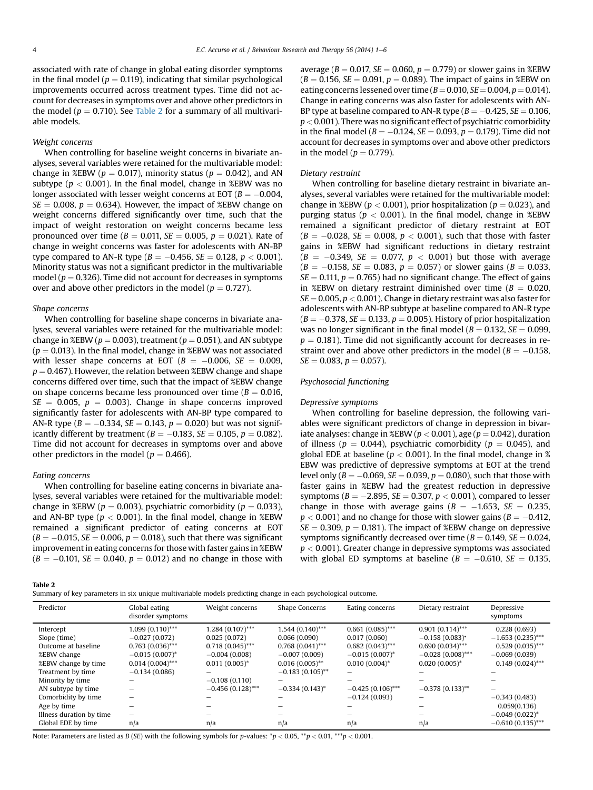associated with rate of change in global eating disorder symptoms in the final model ( $p = 0.119$ ), indicating that similar psychological improvements occurred across treatment types. Time did not account for decreases in symptoms over and above other predictors in the model ( $p = 0.710$ ). See Table 2 for a summary of all multivariable models.

#### Weight concerns

When controlling for baseline weight concerns in bivariate analyses, several variables were retained for the multivariable model: change in %EBW ( $p = 0.017$ ), minority status ( $p = 0.042$ ), and AN subtype ( $p < 0.001$ ). In the final model, change in %EBW was no longer associated with lesser weight concerns at EOT  $(B = -0.004,$  $SE = 0.008$ ,  $p = 0.634$ ). However, the impact of %EBW change on weight concerns differed significantly over time, such that the impact of weight restoration on weight concerns became less pronounced over time ( $B = 0.011$ ,  $SE = 0.005$ ,  $p = 0.021$ ). Rate of change in weight concerns was faster for adolescents with AN-BP type compared to AN-R type ( $B = -0.456$ ,  $SE = 0.128$ ,  $p < 0.001$ ). Minority status was not a significant predictor in the multivariable model ( $p = 0.326$ ). Time did not account for decreases in symptoms over and above other predictors in the model ( $p = 0.727$ ).

#### Shape concerns

When controlling for baseline shape concerns in bivariate analyses, several variables were retained for the multivariable model: change in %EBW ( $p = 0.003$ ), treatment ( $p = 0.051$ ), and AN subtype  $(p = 0.013)$ . In the final model, change in %EBW was not associated with lesser shape concerns at EOT ( $B = -0.006$ ,  $SE = 0.009$ ,  $p = 0.467$ ). However, the relation between %EBW change and shape concerns differed over time, such that the impact of %EBW change on shape concerns became less pronounced over time ( $B = 0.016$ ,  $SE = 0.005$ ,  $p = 0.003$ ). Change in shape concerns improved significantly faster for adolescents with AN-BP type compared to AN-R type ( $B = -0.334$ ,  $SE = 0.143$ ,  $p = 0.020$ ) but was not significantly different by treatment ( $B = -0.183$ ,  $SE = 0.105$ ,  $p = 0.082$ ). Time did not account for decreases in symptoms over and above other predictors in the model ( $p = 0.466$ ).

#### Eating concerns

When controlling for baseline eating concerns in bivariate analyses, several variables were retained for the multivariable model: change in %EBW ( $p = 0.003$ ), psychiatric comorbidity ( $p = 0.033$ ), and AN-BP type ( $p < 0.001$ ). In the final model, change in %EBW remained a significant predictor of eating concerns at EOT  $(B = -0.015, SE = 0.006, p = 0.018)$ , such that there was significant improvement in eating concerns for those with faster gains in %EBW  $(B = -0.101, SE = 0.040, p = 0.012)$  and no change in those with

average ( $B = 0.017$ ,  $SE = 0.060$ ,  $p = 0.779$ ) or slower gains in %EBW  $(B = 0.156, SE = 0.091, p = 0.089)$ . The impact of gains in %EBW on eating concerns lessened over time ( $B = 0.010$ ,  $SE = 0.004$ ,  $p = 0.014$ ). Change in eating concerns was also faster for adolescents with AN-BP type at baseline compared to AN-R type ( $B = -0.425$ ,  $SE = 0.106$ ,  $p < 0.001$ ). There was no significant effect of psychiatric comorbidity in the final model ( $B = -0.124$ ,  $SE = 0.093$ ,  $p = 0.179$ ). Time did not account for decreases in symptoms over and above other predictors in the model ( $p = 0.779$ ).

## Dietary restraint

When controlling for baseline dietary restraint in bivariate analyses, several variables were retained for the multivariable model: change in %EBW ( $p < 0.001$ ), prior hospitalization ( $p = 0.023$ ), and purging status ( $p < 0.001$ ). In the final model, change in %EBW remained a significant predictor of dietary restraint at EOT  $(B = -0.028, \, \textit{SE} = 0.008, \, p < 0.001$ ), such that those with faster gains in %EBW had significant reductions in dietary restraint  $(B = -0.349, \; SE = 0.077, \; p < 0.001)$  but those with average  $(B = -0.158, \, SE = 0.083, \, p = 0.057)$  or slower gains  $(B = 0.033, \, p = 0.057)$  $SE = 0.111$ ,  $p = 0.765$ ) had no significant change. The effect of gains in %EBW on dietary restraint diminished over time ( $B = 0.020$ ,  $SE = 0.005$ ,  $p < 0.001$ ). Change in dietary restraint was also faster for adolescents with AN-BP subtype at baseline compared to AN-R type  $(B = -0.378, SE = 0.133, p = 0.005)$ . History of prior hospitalization was no longer significant in the final model ( $B = 0.132$ ,  $SE = 0.099$ ,  $p = 0.181$ ). Time did not significantly account for decreases in restraint over and above other predictors in the model ( $B = -0.158$ ,  $SE = 0.083$ ,  $p = 0.057$ ).

## Psychosocial functioning

#### Depressive symptoms

When controlling for baseline depression, the following variables were significant predictors of change in depression in bivariate analyses: change in %EBW ( $p < 0.001$ ), age ( $p = 0.042$ ), duration of illness ( $p = 0.044$ ), psychiatric comorbidity ( $p = 0.045$ ), and global EDE at baseline ( $p < 0.001$ ). In the final model, change in % EBW was predictive of depressive symptoms at EOT at the trend level only ( $B = -0.069$ ,  $SE = 0.039$ ,  $p = 0.080$ ), such that those with faster gains in %EBW had the greatest reduction in depressive symptoms ( $B = -2.895$ ,  $SE = 0.307$ ,  $p < 0.001$ ), compared to lesser change in those with average gains ( $B = -1.653$ ,  $SE = 0.235$ ,  $p < 0.001$  ) and no change for those with slower gains ( $B = -0.412$ ,  $SE = 0.309$ ,  $p = 0.181$ ). The impact of %EBW change on depressive symptoms significantly decreased over time ( $B = 0.149$ ,  $SE = 0.024$ ,  $p < 0.001$ ). Greater change in depressive symptoms was associated with global ED symptoms at baseline ( $B = -0.610$ ,  $SE = 0.135$ ,

#### Table 2

Summary of key parameters in six unique multivariable models predicting change in each psychological outcome.

|                                                                                                                                                                                                                                                                                                                                                                                     |                                                                                                                                                       |                                                                                                                                                      |                                                                                                                                                      |                                                                                                                                         | symptoms                                                                                                                                                                            |
|-------------------------------------------------------------------------------------------------------------------------------------------------------------------------------------------------------------------------------------------------------------------------------------------------------------------------------------------------------------------------------------|-------------------------------------------------------------------------------------------------------------------------------------------------------|------------------------------------------------------------------------------------------------------------------------------------------------------|------------------------------------------------------------------------------------------------------------------------------------------------------|-----------------------------------------------------------------------------------------------------------------------------------------|-------------------------------------------------------------------------------------------------------------------------------------------------------------------------------------|
| $1.099(0.110)$ ***<br>Intercept<br>$-0.027(0.072)$<br>Slope (time)<br>Outcome at baseline<br>$0.763(0.036)$ ***<br>$-0.015(0.007)^{*}$<br>%EBW change<br>$0.014(0.004)$ ***<br>%EBW change by time<br>Treatment by time<br>$-0.134(0.086)$<br>Minority by time<br>AN subtype by time<br>Comorbidity by time<br>Age by time<br>Illness duration by time<br>Global EDE by time<br>n/a | $1.284(0.107)$ ***<br>0.025(0.072)<br>$0.718(0.045)$ ***<br>$-0.004(0.008)$<br>$0.011(0.005)^*$<br>-<br>$-0.108(0.110)$<br>$-0.456(0.128)$ ***<br>n/a | $1.544(0.140)$ ***<br>0.066(0.090)<br>$0.768(0.041)$ ***<br>$-0.007(0.009)$<br>$0.016(0.005)$ **<br>$-0.183(0.105)$ **<br>$-0.334(0.143)^{*}$<br>n/a | $0.661(0.085)$ ***<br>0.017(0.060)<br>$0.682(0.043)$ ***<br>$-0.015(0.007)^{*}$<br>$0.010(0.004)^*$<br>$-0.425(0.106)$ ***<br>$-0.124(0.093)$<br>n/a | $0.901(0.114)$ ***<br>$-0.158(0.083)^{*}$<br>$0.690(0.034)$ ***<br>$-0.028(0.008)$ ***<br>$0.020(0.005)^*$<br>$-0.378(0.133)$ **<br>n/a | 0.228(0.693)<br>$-1.653(0.235)$ ***<br>$0.529(0.035)$ ***<br>$-0.069(0.039)$<br>$0.149(0.024)$ ***<br>$-0.343(0.483)$<br>0.059(0.136)<br>$-0.049(0.022)^{*}$<br>$-0.610(0.135)$ *** |

Note: Parameters are listed as  $B(SE)$  with the following symbols for p-values:  $\binom{*}{}p < 0.05$ ,  $\binom{**}{}p < 0.01$ ,  $\binom{**}{}p < 0.001$ .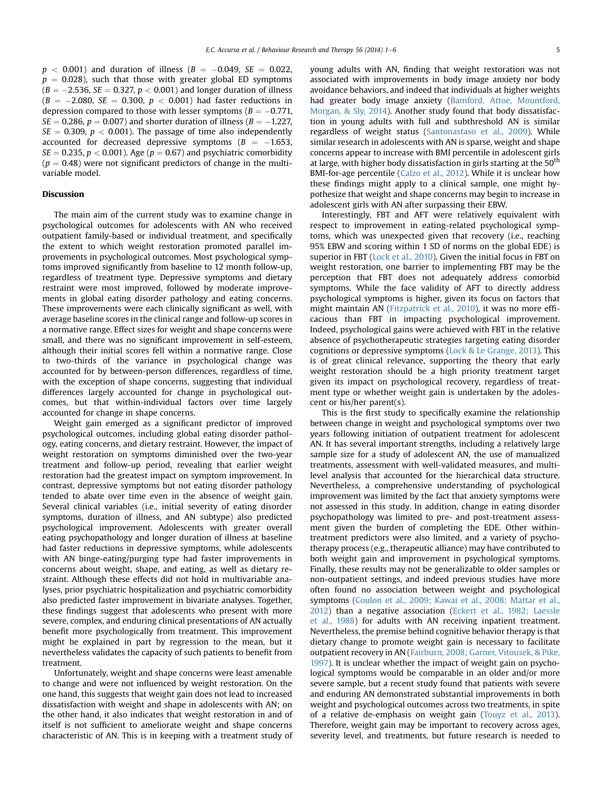$p < 0.001$ ) and duration of illness ( $B = -0.049$ ,  $SE = 0.022$ ,  $p = 0.028$ ), such that those with greater global ED symptoms  $(B = -2.536, SE = 0.327, p < 0.001)$  and longer duration of illness  $(B = -2.080, \, SE = 0.300, \, p < 0.001)$  had faster reductions in depression compared to those with lesser symptoms  $(B = -0.771,$  $SE = 0.286$ ,  $p = 0.007$ ) and shorter duration of illness ( $B = -1.227$ ,  $SE = 0.309$ ,  $p < 0.001$ ). The passage of time also independently accounted for decreased depressive symptoms ( $B = -1.653$ ,  $SE = 0.235$ ,  $p < 0.001$ ). Age ( $p = 0.67$ ) and psychiatric comorbidity  $(p = 0.48)$  were not significant predictors of change in the multivariable model.

# Discussion

The main aim of the current study was to examine change in psychological outcomes for adolescents with AN who received outpatient family-based or individual treatment, and specifically the extent to which weight restoration promoted parallel improvements in psychological outcomes. Most psychological symptoms improved significantly from baseline to 12 month follow-up, regardless of treatment type. Depressive symptoms and dietary restraint were most improved, followed by moderate improvements in global eating disorder pathology and eating concerns. These improvements were each clinically significant as well, with average baseline scores in the clinical range and follow-up scores in a normative range. Effect sizes for weight and shape concerns were small, and there was no significant improvement in self-esteem, although their initial scores fell within a normative range. Close to two-thirds of the variance in psychological change was accounted for by between-person differences, regardless of time, with the exception of shape concerns, suggesting that individual differences largely accounted for change in psychological outcomes, but that within-individual factors over time largely accounted for change in shape concerns.

Weight gain emerged as a significant predictor of improved psychological outcomes, including global eating disorder pathology, eating concerns, and dietary restraint. However, the impact of weight restoration on symptoms diminished over the two-year treatment and follow-up period, revealing that earlier weight restoration had the greatest impact on symptom improvement. In contrast, depressive symptoms but not eating disorder pathology tended to abate over time even in the absence of weight gain. Several clinical variables (i.e., initial severity of eating disorder symptoms, duration of illness, and AN subtype) also predicted psychological improvement. Adolescents with greater overall eating psychopathology and longer duration of illness at baseline had faster reductions in depressive symptoms, while adolescents with AN binge-eating/purging type had faster improvements in concerns about weight, shape, and eating, as well as dietary restraint. Although these effects did not hold in multivariable analyses, prior psychiatric hospitalization and psychiatric comorbidity also predicted faster improvement in bivariate analyses. Together, these findings suggest that adolescents who present with more severe, complex, and enduring clinical presentations of AN actually benefit more psychologically from treatment. This improvement might be explained in part by regression to the mean, but it nevertheless validates the capacity of such patients to benefit from treatment.

Unfortunately, weight and shape concerns were least amenable to change and were not influenced by weight restoration. On the one hand, this suggests that weight gain does not lead to increased dissatisfaction with weight and shape in adolescents with AN; on the other hand, it also indicates that weight restoration in and of itself is not sufficient to ameliorate weight and shape concerns characteristic of AN. This is in keeping with a treatment study of young adults with AN, finding that weight restoration was not associated with improvements in body image anxiety nor body avoidance behaviors, and indeed that individuals at higher weights had greater body image anxiety ([Bamford, Attoe, Mountford,](#page-5-0) [Morgan, & Sly, 2014\)](#page-5-0). Another study found that body dissatisfaction in young adults with full and subthreshold AN is similar regardless of weight status ([Santonastaso et al., 2009\)](#page-5-0). While similar research in adolescents with AN is sparse, weight and shape concerns appear to increase with BMI percentile in adolescent girls at large, with higher body dissatisfaction in girls starting at the  $50<sup>th</sup>$ BMI-for-age percentile [\(Calzo et al., 2012](#page-5-0)). While it is unclear how these findings might apply to a clinical sample, one might hypothesize that weight and shape concerns may begin to increase in adolescent girls with AN after surpassing their EBW.

Interestingly, FBT and AFT were relatively equivalent with respect to improvement in eating-related psychological symptoms, which was unexpected given that recovery (i.e., reaching 95% EBW and scoring within 1 SD of norms on the global EDE) is superior in FBT [\(Lock et al., 2010\)](#page-5-0). Given the initial focus in FBT on weight restoration, one barrier to implementing FBT may be the perception that FBT does not adequately address comorbid symptoms. While the face validity of AFT to directly address psychological symptoms is higher, given its focus on factors that might maintain AN ([Fitzpatrick et al., 2010](#page-5-0)), it was no more efficacious than FBT in impacting psychological improvement. Indeed, psychological gains were achieved with FBT in the relative absence of psychotherapeutic strategies targeting eating disorder cognitions or depressive symptoms [\(Lock & Le Grange, 2013\)](#page-5-0). This is of great clinical relevance, supporting the theory that early weight restoration should be a high priority treatment target given its impact on psychological recovery, regardless of treatment type or whether weight gain is undertaken by the adolescent or his/her parent(s).

This is the first study to specifically examine the relationship between change in weight and psychological symptoms over two years following initiation of outpatient treatment for adolescent AN. It has several important strengths, including a relatively large sample size for a study of adolescent AN, the use of manualized treatments, assessment with well-validated measures, and multilevel analysis that accounted for the hierarchical data structure. Nevertheless, a comprehensive understanding of psychological improvement was limited by the fact that anxiety symptoms were not assessed in this study. In addition, change in eating disorder psychopathology was limited to pre- and post-treatment assessment given the burden of completing the EDE. Other withintreatment predictors were also limited, and a variety of psychotherapy process (e.g., therapeutic alliance) may have contributed to both weight gain and improvement in psychological symptoms. Finally, these results may not be generalizable to older samples or non-outpatient settings, and indeed previous studies have more often found no association between weight and psychological symptoms [\(Coulon et al., 2009; Kawai et al., 2008; Mattar et al.,](#page-5-0) [2012\)](#page-5-0) than a negative association ([Eckert et al., 1982; Laessle](#page-5-0) [et al., 1988](#page-5-0)) for adults with AN receiving inpatient treatment. Nevertheless, the premise behind cognitive behavior therapy is that dietary change to promote weight gain is necessary to facilitate outpatient recovery in AN [\(Fairburn, 2008; Garner, Vitousek, & Pike,](#page-5-0) [1997\)](#page-5-0). It is unclear whether the impact of weight gain on psychological symptoms would be comparable in an older and/or more severe sample, but a recent study found that patients with severe and enduring AN demonstrated substantial improvements in both weight and psychological outcomes across two treatments, in spite of a relative de-emphasis on weight gain ([Touyz et al., 2013\)](#page-5-0). Therefore, weight gain may be important to recovery across ages, severity level, and treatments, but future research is needed to